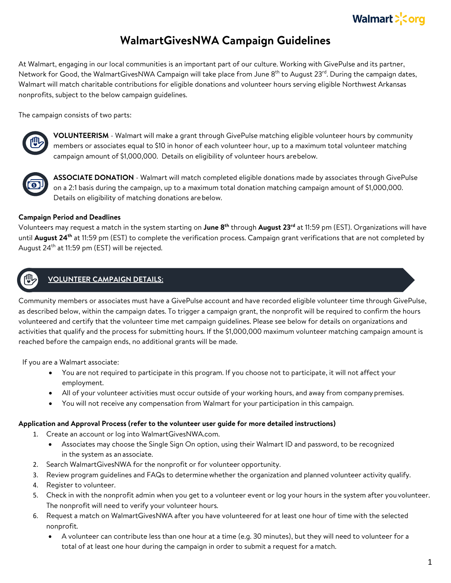

# **WalmartGivesNWA Campaign Guidelines**

At Walmart, engaging in our local communities is an important part of our culture. Working with GivePulse and its partner, Network for Good, the WalmartGivesNWA Campaign will take place from June 8<sup>th</sup> to August 23<sup>rd</sup>. During the campaign dates, Walmart will match charitable contributions for eligible donations and volunteer hours serving eligible Northwest Arkansas nonprofits, subject to the below campaign guidelines.

The campaign consists of two parts:



**VOLUNTEERISM** - Walmart will make a grant through GivePulse matching eligible volunteer hours by community members or associates equal to \$10 in honor of each volunteer hour, up to a maximum total volunteer matching campaign amount of \$1,000,000. Details on eligibility of volunteer hours arebelow.



**ASSOCIATE DONATION** - Walmart will match completed eligible donations made by associates through GivePulse on a 2:1 basis during the campaign, up to a maximum total donation matching campaign amount of \$1,000,000. Details on eligibility of matching donations arebelow.

#### **Campaign Period and Deadlines**

Volunteers may request a match in the system starting on **June 8th** through **August 23rd** at 11:59 pm (EST). Organizations will have until **August 24th** at 11:59 pm (EST) to complete the verification process. Campaign grant verifications that are not completed by August 24<sup>th</sup> at 11:59 pm (EST) will be rejected.

## **VOLUNTEER CAMPAIGN DETAILS:**

Community members or associates must have a GivePulse account and have recorded eligible volunteer time through GivePulse, as described below, within the campaign dates. To trigger a campaign grant, the nonprofit will be required to confirm the hours volunteered and certify that the volunteer time met campaign guidelines. Please see below for details on organizations and activities that qualify and the process for submitting hours. If the \$1,000,000 maximum volunteer matching campaign amount is reached before the campaign ends, no additional grants will be made.

If you are a Walmart associate:

- You are not required to participate in this program. If you choose not to participate, it will not affect your employment.
- All of your volunteer activities must occur outside of your working hours, and away from company premises.
- You will not receive any compensation from Walmart for your participation in this campaign.

#### **Application and Approval Process (refer to the volunteer user guide for more detailed instructions)**

- 1. Create an account or log into WalmartGivesNWA.com.
	- Associates may choose the Single Sign On option, using their Walmart ID and password, to be recognized in the system as an associate.
- 2. Search WalmartGivesNWA for the nonprofit or for volunteer opportunity.
- 3. Review program guidelines and FAQs to determine whether the organization and planned volunteer activity qualify.
- 4. Register to volunteer.
- 5. Check in with the nonprofit admin when you get to a volunteer event or log your hours in the system after youvolunteer. The nonprofit will need to verify your volunteer hours.
- 6. Request a match on WalmartGivesNWA after you have volunteered for at least one hour of time with the selected nonprofit.
	- A volunteer can contribute less than one hour at a time (e.g. 30 minutes), but they will need to volunteer for a total of at least one hour during the campaign in order to submit a request for a match.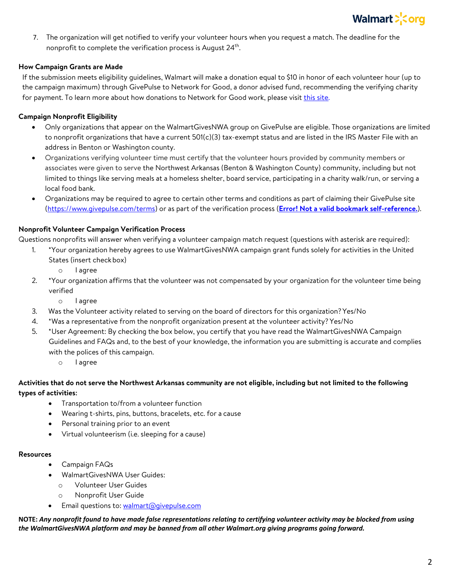

7. The organization will get notified to verify your volunteer hours when you request a match. The deadline for the nonprofit to complete the verification process is August 24<sup>th</sup>.

## **How Campaign Grants are Made**

If the submission meets eligibility guidelines, Walmart will make a donation equal to \$10 in honor of each volunteer hour (up to the campaign maximum) through GivePulse to Network for Good, a donor advised fund, recommending the verifying charity for payment. To learn more about how donations to Network for Good work, please visit this site.

## **Campaign Nonprofit Eligibility**

- Only organizations that appear on the WalmartGivesNWA group on GivePulse are eligible. Those organizations are limited to nonprofit organizations that have a current 501(c)(3) tax-exempt status and are listed in the IRS Master File with an address in Benton or Washington county.
- Organizations verifying volunteer time must certify that the volunteer hours provided by community members or associates were given to serve the Northwest Arkansas (Benton & Washington County) community, including but not limited to things like serving meals at a homeless shelter, board service, participating in a charity walk/run, or serving a local food bank.
- Organizations may be required to agree to certain other terms and conditions as part of claiming their GivePulse site (https://www.givepulse.com/terms) or as part of the verification process (**Error! Not a valid bookmark self-reference.**).

## **Nonprofit Volunteer Campaign Verification Process**

Questions nonprofits will answer when verifying a volunteer campaign match request (questions with asterisk are required):

- 1. \*Your organization hereby agrees to use WalmartGivesNWA campaign grant funds solely for activities in the United States (insert checkbox)
	- o I agree
- 2. \*Your organization affirms that the volunteer was not compensated by your organization for the volunteer time being verified
	- o I agree
- 3. Was the Volunteer activity related to serving on the board of directors for this organization?Yes/No
- 4. \*Was a representative from the nonprofit organization present at the volunteer activity? Yes/No
- 5. \*User Agreement: By checking the box below, you certify that you have read the WalmartGivesNWA Campaign Guidelines and FAQs and, to the best of your knowledge, the information you are submitting is accurate and complies with the polices of this campaign.
	- o I agree

## **Activities that do not serve the Northwest Arkansas community are not eligible, including but not limited to the following types of activities:**

- Transportation to/from a volunteer function
- Wearing t-shirts, pins, buttons, bracelets, etc. for a cause
- Personal training prior to an event
- Virtual volunteerism (i.e. sleeping for a cause)

#### **Resources**

- Campaign FAQs
- WalmartGivesNWA User Guides:
	- o Volunteer User Guides
	- o Nonprofit User Guide
- Email questions to: walmart@givepulse.com

**NOTE:** *Any nonprofit found to have made false representations relating to certifying volunteer activity may be blocked from using the WalmartGivesNWA platform and may be banned from all other Walmart.org giving programs going forward.*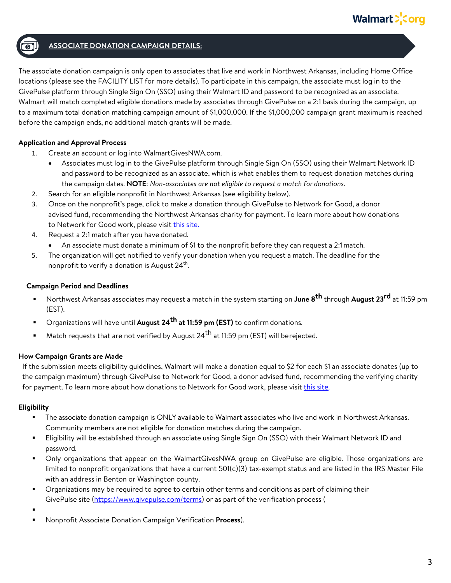

## **ASSOCIATE DONATION CAMPAIGN DETAILS:**

The associate donation campaign is only open to associates that live and work in Northwest Arkansas, including Home Office locations (please see the FACILITY LIST for more details). To participate in this campaign, the associate must log in to the GivePulse platform through Single Sign On (SSO) using their Walmart ID and password to be recognized as an associate. Walmart will match completed eligible donations made by associates through GivePulse on a 2:1 basis during the campaign, up to a maximum total donation matching campaign amount of \$1,000,000. If the \$1,000,000 campaign grant maximum is reached before the campaign ends, no additional match grants will be made.

## **Application and Approval Process**

- 1. Create an account or log into WalmartGivesNWA.com.
	- Associates must log in to the GivePulse platform through Single Sign On (SSO) using their Walmart Network ID and password to be recognized as an associate, which is what enables them to request donation matches during the campaign dates. **NOTE**: *Non-associates are not eligible to request a match for donations*.
- 2. Search for an eligible nonprofit in Northwest Arkansas (see eligibility below).
- 3. Once on the nonprofit's page, click to make a donation through GivePulse to Network for Good, a donor advised fund, recommending the Northwest Arkansas charity for payment. To learn more about how donations to Network for Good work, please visit this site.
- 4. Request a 2:1 match after you have donated.
	- An associate must donate a minimum of \$1 to the nonprofit before they can request a 2:1 match.
- 5. The organization will get notified to verify your donation when you request a match. The deadline for the nonprofit to verify a donation is August  $24<sup>th</sup>$ .

## **Campaign Period and Deadlines**

- § Northwest Arkansas associates may request a match in the system starting on **June 8th** through **August 23rd** at 11:59 pm (EST).
- Organizations will have until **August 24<sup>th</sup> at 11:59 pm (EST)** to confirm donations.
- Match requests that are not verified by August 24<sup>th</sup> at 11:59 pm (EST) will berejected.

## **How Campaign Grants are Made**

If the submission meets eligibility guidelines, Walmart will make a donation equal to \$2 for each \$1 an associate donates (up to the campaign maximum) through GivePulse to Network for Good, a donor advised fund, recommending the verifying charity for payment. To learn more about how donations to Network for Good work, please visit this site.

## **Eligibility**

- The associate donation campaign is ONLY available to Walmart associates who live and work in Northwest Arkansas. Community members are not eligible for donation matches during the campaign.
- § Eligibility will be established through an associate using Single Sign On (SSO) with their Walmart Network ID and password.
- § Only organizations that appear on the WalmartGivesNWA group on GivePulse are eligible. Those organizations are limited to nonprofit organizations that have a current 501(c)(3) tax-exempt status and are listed in the IRS Master File with an address in Benton or Washington county.
- **•** Organizations may be required to agree to certain other terms and conditions as part of claiming their GivePulse site (https://www.givepulse.com/terms) or as part of the verification process (

§

§ Nonprofit Associate Donation Campaign Verification **Process**).